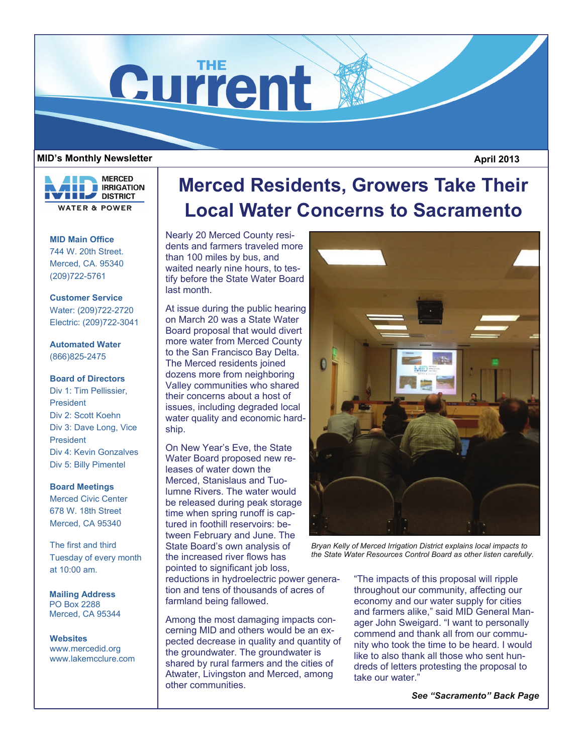

#### **MID's Monthly Newsletter**

 **April 2013** 



**MID Main Office**  744 W. 20th Street. Merced, CA. 95340 (209)722-5761

**Customer Service**  Water: (209)722-2720 Electric: (209)722-3041

**Automated Water**  (866)825-2475

#### **Board of Directors**

Div 1: Tim Pellissier President Div 2: Scott Koehn Div 3: Dave Long, Vice President Div 4: Kevin Gonzalves Div 5: Billy Pimentel

#### **Board Meetings**

Merced Civic Center 678 W. 18th Street Merced, CA 95340

The first and third Tuesday of every month at 10:00 am.

**Mailing Address**  PO Box 2288 Merced, CA 95344

#### **Websites**

www.mercedid.org www.lakemcclure.com

# **Merced Residents, Growers Take Their Local Water Concerns to Sacramento**

Nearly 20 Merced County residents and farmers traveled more than 100 miles by bus, and waited nearly nine hours, to testify before the State Water Board last month.

At issue during the public hearing on March 20 was a State Water Board proposal that would divert more water from Merced County to the San Francisco Bay Delta. The Merced residents joined dozens more from neighboring Valley communities who shared their concerns about a host of issues, including degraded local water quality and economic hardship.

On New Year's Eve, the State Water Board proposed new releases of water down the Merced, Stanislaus and Tuolumne Rivers. The water would be released during peak storage time when spring runoff is captured in foothill reservoirs: between February and June. The State Board's own analysis of the increased river flows has pointed to significant job loss. reductions in hydroelectric power generation and tens of thousands of acres of farmland being fallowed.

Among the most damaging impacts concerning MID and others would be an expected decrease in quality and quantity of the groundwater. The groundwater is shared by rural farmers and the cities of Atwater, Livingston and Merced, among other communities.



*Bryan Kelly of Merced Irrigation District explains local impacts to the State Water Resources Control Board as other listen carefully.* 

"The impacts of this proposal will ripple throughout our community, affecting our economy and our water supply for cities and farmers alike," said MID General Manager John Sweigard. "I want to personally commend and thank all from our community who took the time to be heard. I would like to also thank all those who sent hundreds of letters protesting the proposal to take our water."

*See "Sacramento" Back Page*